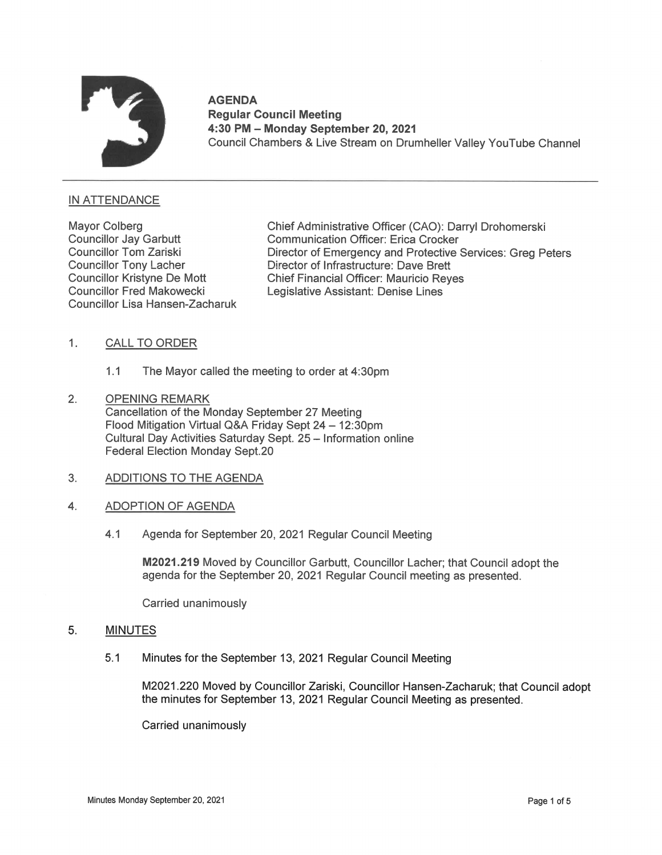

AGENDA<br>Regular Council Meeting 4:30 PM — Monday September 20, 2021 Council Chambers & Live Stream on Drumheller Valley YouTube Channel

# INATTENDANCE

Councillor Lisa Hansen-Zacharuk

Mayor Colberg Chief Administrative Officer (CAO): Darryl Drohomerski<br>Councillor Jay Garbutt Communication Officer: Erica Crocker Communication Officer: Erica Crocker Councillor Tom Zariski **Director of Emergency and Protective Services: Greg Peters**<br>Councillor Tony Lacher **Director of Infrastructure: Dave Brett** Director of Infrastructure: Dave Brett Councillor Kristyne De Mott Chief Financial Officer: Mauricio Reyes Councillor Fred Makowecki Legislative Assistant: Denise Lines

## 1. CALL TO ORDER

- 1.1 The Mayor called the meeting to order at  $4:30 \text{pm}$
- 2. OPENING REMARK Cancellation of the Monday September 27 Meeting Flood Mitigation Virtual Q&A Friday Sept 24 - 12:30pm Cultural Day Activities Saturday Sept. 25 - Information online Federal Election Monday Sept.2O
- 3. ADDITIONS TO THE AGENDA
- 4. ADOPTION OF AGENDA
	- 4.1 Agenda for September 20, 2021 Regular Council Meeting

M2021.219 Moved by Councillor Garbutt, Councillor Lacher; that Council adopt the agenda for the September 20, 2021 Regular Council meeting as presented.

Carried unanimously

## 5. MINUTES

5.1 Minutes for the September 13, 2021 Regular Council Meeting

M2021.22O Moved by Councillor Zariski, Councillor Hansen-Zacharuk; that Council adopt the minutes for September 13, 2021 Regular Council Meeting as presented.

Carried unanimously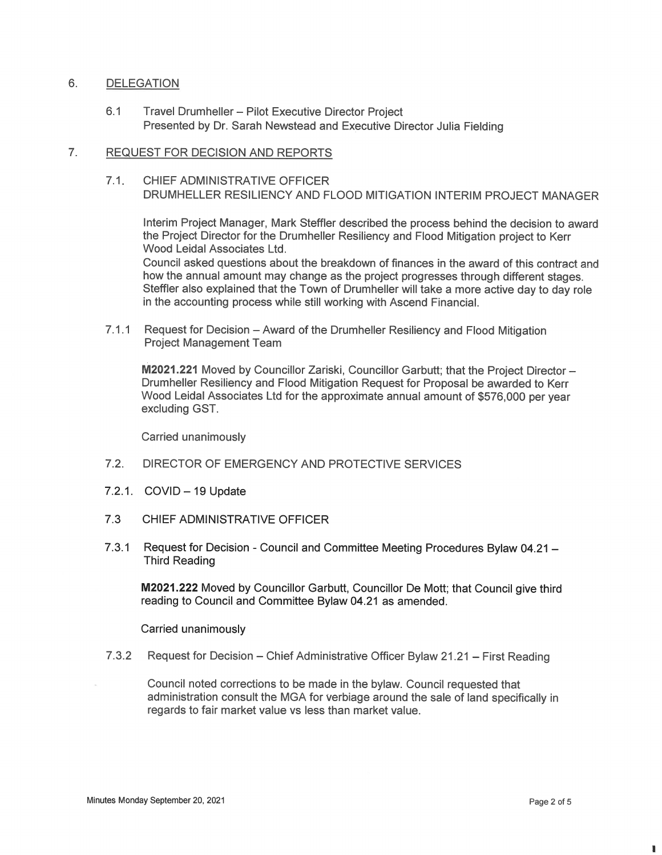### $6.$ **DELEGATION**

6.1 Travel Drumheller — Pilot Executive Director Project Presented by Dr. Sarah Newstead and Executive Director Julia Fielding

#### $7<sub>1</sub>$ REQUEST FOR DECISION AND REPORTS

7.1. CHIEF ADMINISTRATIVE OFFICER DRUMHELLER RESILIENCY AND FLOOD MITIGATION INTERIM PROJECT MANAGER

Interim Project Manager, Mark Steffler described the process behind the decision to award the Project Director for the Drumheller Resiliency and Flood Mitigation project to Kerr Wood Leidal Associates Ltd.

Council asked questions about the breakdown of finances in the award of this contract and how the annual amount may change as the project progresses through different stages. Steffler also explained that the Town of Drumheller will take a more active day to day role in the accounting process while still working with Ascend Financial.

7.1.1 Request for Decision – Award of the Drumheller Resiliency and Flood Mitigation Project Management Team

M2021.221Moved by Councillor Zariski, Councillor Garbutt; that the Project Director — Drumheller Resiliency and Flood Mitigation Request for Proposal be awarded to Kerr Wood Leidal Associates Ltd for the approximate annual amount of \$576,000 per year excluding GST.

Carried unanimously

- 7.2. DIRECTOR OF EMERGENCY AND PROTECTIVE SERVICES
- $7.2.1.$  COVID  $-19$  Update
- 7.3 CHIEF ADMINISTRATIVE OFFICER
- 7.3.1 Request for Decision Council and Committee Meeting Procedures Bylaw 04.21 Third Reading

M2021.222 Moved by Councillor Garbutt, Councillor De Mott; that Council give third reading to Council and Committee Bylaw 04.21 as amended.

Carried unanimously

7.3.2 Request for Decision – Chief Administrative Officer Bylaw 21.21 – First Reading

Council noted corrections to be made in the bylaw. Council requested that administration consult the MGA for verbiage around the sale of land specifically in regards to fair market value vs less than market value.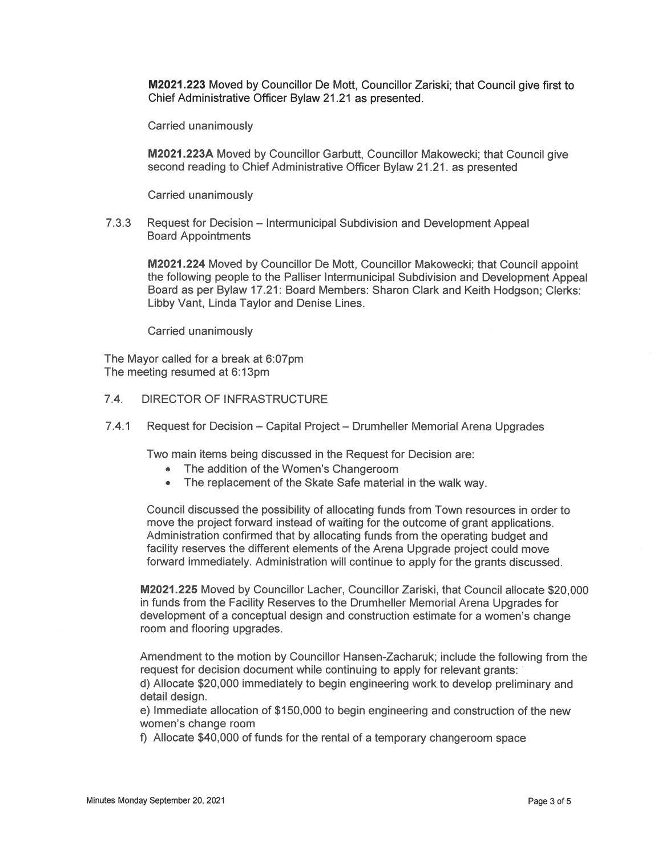M2021.223 Moved by Councillor De Mott, Councillor Zariski; that Council give first to Chief Administrative Officer Bylaw 21.21 as presented.

Carried unanimously

M2021.223A Moved by Councillor Garbutt, Councillor Makowecki; that Council give second reading to Chief Administrative Officer Bylaw 21.21. as presented

Carried unanimously

7.3.3 Request for Decision — lntermunicipal Subdivision and Development Appeal Board Appointments

**M2021.224** Moved by Councillor De Mott, Councillor Makowecki; that Council appoint the following people to the Palliser lntermunicipal Subdivision and Development Appeal Board as per Bylaw 17.21: Board Members: Sharon Clark and Keith Hodgson; Clerks: Libby Vant, Linda Taylor and Denise Lines.

Carried unanimously

The Mayor called for a break at 6:07pm The meeting resumed at 6:13pm

# 7.4. DIRECTOR OF INFRASTRUCTURE

7.4.1 Request for Decision — Capital Project — Drumheller Memorial Arena Upgrades

Two main items being discussed in the Request for Decision are:

- The addition of the Women's Changeroom
- The replacement of the Skate Safe material in the walk way.

Council discussed the possibility of allocating funds from Town resources in order to move the project forward instead of waiting for the outcome of grant applications. Administration confirmed that by allocating funds from the operating budget and facility reserves the different elements of the Arena Upgrade project could move forward immediately. Administration will continue to apply for the grants discussed.

M2021.225 Moved by Councillor Lacher, Councillor Zariski, that Council allocate \$20,000 in funds from the Facility Reserves to the Drumheller Memorial Arena Upgrades for development of a conceptual design and construction estimate for a women's change room and flooring upgrades.

Amendment to the motion by Councillor Hansen-Zacharuk; include the following from the request for decision document while continuing to apply for relevant grants: <sup>1</sup> d) Allocate \$20,000 immediately to begin engineering work to develop preliminary and detail design.

e) Immediate allocation of \$150,000 to begin engineering and construction of the new women's change room

f) Allocate \$40,000 of funds for the rental of a temporary changeroom space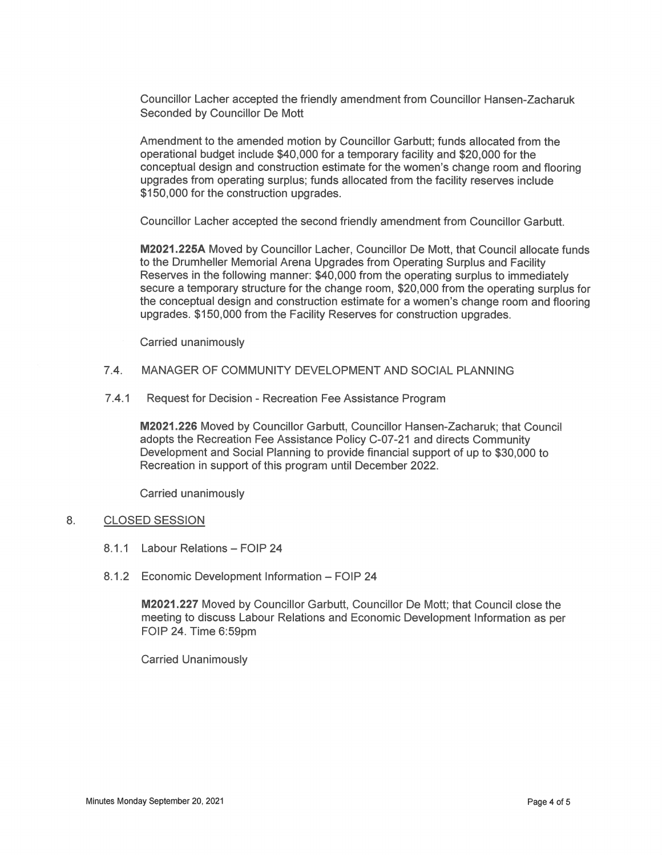Councillor Lacher accepted the friendly amendment from Councillor Hansen—Zacharuk Seconded by Councillor De Mott

Amendment to the amended motion by Councillor Garbutt; funds allocated from the operational budget include \$40,000 for a temporary facility and \$20,000 for the conceptual design and construction estimate for the women's change room and flooring upgrades fromoperating surplus; funds allocated from the facility reserves include \$150,000 for the construction upgrades.

Councillor Lacher accepted the second friendly amendment from Councillor Garbutt.

M2021.225A Moved by Councillor Lacher, Councillor De Mott, that Council allocate funds to the Drumheller Memorial Arena Upgrades from Operating Surplus and Facility Reserves in the following manner: \$40,000 from the operating surplus to immediately secure a temporary structure for the change room, \$20,000 from the operating surplus for the conceptual design and construction estimate for a women's change room and flooring upgrades. \$150,000 from the Facility Reserves for construction upgrades.

Carried unanimously

- 7.4. MANAGER OF COMMUNITYDEVELOPMENT AND SOCIAL PLANNING
- 7.4.1 Request for Decision Recreation Fee Assistance Program

M2021.226 Moved by Councillor Garbutt, Councillor Hansen—Zacharuk; that Council adopts the Recreation Fee Assistance Policy C-07-21 and directs Community Development and Social Planning to provide financial support of up to \$30,000 to Recreation in support of this program until December 2022.

Carried unanimously

#### 8. CLOSED SESSION

- 8.1.1 Labour Relations FOIP 24
- 8.1.2 Economic Development Information FOIP 24

M2021.227 Moved by Councillor Garbutt, Councillor De Mott; that Council close the meeting to discuss Labour Relations and Economic Development Information as per FOIP 24. Time 6:59pm

Carried Unanimously